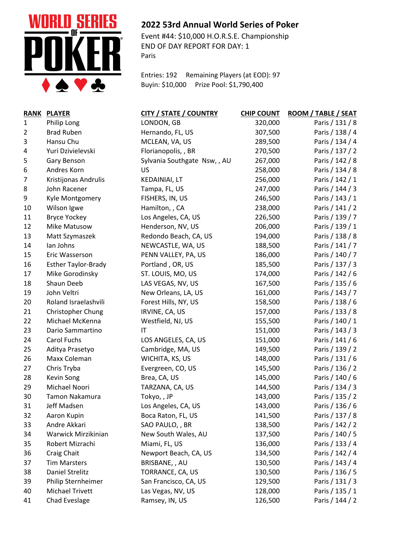

## **2022 53rd Annual World Series of Poker**

Event #44: \$10,000 H.O.R.S.E. Championship END OF DAY REPORT FOR DAY: 1 Paris

Entries: 192 Remaining Players (at EOD): 97 Buyin: \$10,000 Prize Pool: \$1,790,400

|                | RANK PLAYER                | <b>CITY / STATE / COUNTRY</b> | <b>CHIP COUNT</b> | ROOM / TABLE / SEAT |
|----------------|----------------------------|-------------------------------|-------------------|---------------------|
| 1              | Philip Long                | LONDON, GB                    | 320,000           | Paris / 131 / 8     |
| $\overline{2}$ | <b>Brad Ruben</b>          | Hernando, FL, US              | 307,500           | Paris / 138 / 4     |
| 3              | Hansu Chu                  | MCLEAN, VA, US                | 289,500           | Paris / 134 / 4     |
| 4              | Yuri Dzivielevski          | Florianopolis, , BR           | 270,500           | Paris / 137 / 2     |
| 5              | Gary Benson                | Sylvania Southgate Nsw,, AU   | 267,000           | Paris / 142 / 8     |
| 6              | Andres Korn                | <b>US</b>                     | 258,000           | Paris / 134 / 8     |
| $\overline{7}$ | Kristijonas Andrulis       | <b>KEDAINIAI, LT</b>          | 256,000           | Paris / 142 / 1     |
| 8              | John Racener               | Tampa, FL, US                 | 247,000           | Paris / 144 / 3     |
| 9              | Kyle Montgomery            | FISHERS, IN, US               | 246,500           | Paris / 143 / 1     |
| 10             | Wilson Igwe                | Hamilton, , CA                | 238,000           | Paris / 141 / 2     |
| 11             | <b>Bryce Yockey</b>        | Los Angeles, CA, US           | 226,500           | Paris / 139 / 7     |
| 12             | Mike Matusow               | Henderson, NV, US             | 206,000           | Paris / 139 / 1     |
| 13             | Matt Szymaszek             | Redondo Beach, CA, US         | 194,000           | Paris / 138 / 8     |
| 14             | lan Johns                  | NEWCASTLE, WA, US             | 188,500           | Paris / 141 / 7     |
| 15             | Eric Wasserson             | PENN VALLEY, PA, US           | 186,000           | Paris / 140 / 7     |
| 16             | <b>Esther Taylor-Brady</b> | Portland, OR, US              | 185,500           | Paris / 137 / 3     |
| 17             | Mike Gorodinsky            | ST. LOUIS, MO, US             | 174,000           | Paris / 142 / 6     |
| 18             | Shaun Deeb                 | LAS VEGAS, NV, US             | 167,500           | Paris / 135 / 6     |
| 19             | John Veltri                | New Orleans, LA, US           | 161,000           | Paris / 143 / 7     |
| 20             | Roland Israelashvili       | Forest Hills, NY, US          | 158,500           | Paris / 138 / 6     |
| 21             | Christopher Chung          | IRVINE, CA, US                | 157,000           | Paris / 133 / 8     |
| 22             | Michael McKenna            | Westfield, NJ, US             | 155,500           | Paris / 140 / 1     |
| 23             | Dario Sammartino           | IT                            | 151,000           | Paris / 143 / 3     |
| 24             | Carol Fuchs                | LOS ANGELES, CA, US           | 151,000           | Paris / 141 / 6     |
| 25             | Aditya Prasetyo            | Cambridge, MA, US             | 149,500           | Paris / 139 / 2     |
| 26             | Maxx Coleman               | WICHITA, KS, US               | 148,000           | Paris / 131 / 6     |
| 27             | Chris Tryba                | Evergreen, CO, US             | 145,500           | Paris / 136 / 2     |
| 28             | Kevin Song                 | Brea, CA, US                  | 145,000           | Paris / 140 / 6     |
| 29             | Michael Noori              | TARZANA, CA, US               | 144,500           | Paris / 134 / 3     |
| 30             | Tamon Nakamura             | Tokyo,, JP                    | 143,000           | Paris / 135 / 2     |
| 31             | Jeff Madsen                | Los Angeles, CA, US           | 143,000           | Paris / 136 / 6     |
| 32             | Aaron Kupin                | Boca Raton, FL, US            | 141,500           | Paris / 137 / 8     |
| 33             | Andre Akkari               | SAO PAULO, , BR               | 138,500           | Paris / 142 / 2     |
| 34             | Warwick Mirzikinian        | New South Wales, AU           | 137,500           | Paris / 140 / 5     |
| 35             | Robert Mizrachi            | Miami, FL, US                 | 136,000           | Paris / 133 / 4     |
| 36             | Craig Chait                | Newport Beach, CA, US         | 134,500           | Paris / 142 / 4     |
| 37             | <b>Tim Marsters</b>        | BRISBANE, , AU                | 130,500           | Paris / 143 / 4     |
| 38             | Daniel Strelitz            | TORRANCE, CA, US              | 130,500           | Paris / 136 / 5     |
| 39             | Philip Sternheimer         | San Francisco, CA, US         | 129,500           | Paris / 131 / 3     |
| 40             | <b>Michael Trivett</b>     | Las Vegas, NV, US             | 128,000           | Paris / 135 / 1     |
| 41             | Chad Eveslage              | Ramsey, IN, US                | 126,500           | Paris / 144 / 2     |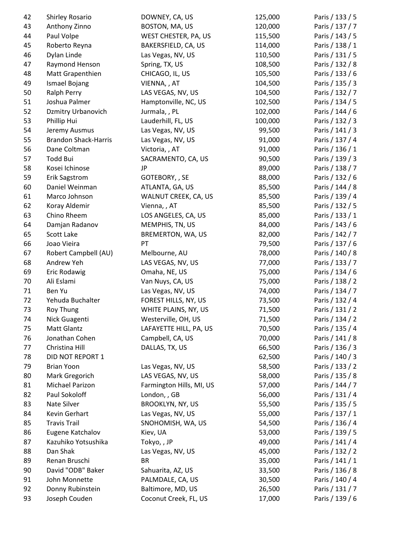| 42 | Shirley Rosario             | DOWNEY, CA, US           | 125,000 | Paris / 133 / 5 |
|----|-----------------------------|--------------------------|---------|-----------------|
| 43 | Anthony Zinno               | BOSTON, MA, US           | 120,000 | Paris / 137 / 7 |
| 44 | Paul Volpe                  | WEST CHESTER, PA, US     | 115,500 | Paris / 143 / 5 |
| 45 | Roberto Reyna               | BAKERSFIELD, CA, US      | 114,000 | Paris / 138 / 1 |
| 46 | Dylan Linde                 | Las Vegas, NV, US        | 110,500 | Paris / 131 / 5 |
| 47 | Raymond Henson              | Spring, TX, US           | 108,500 | Paris / 132 / 8 |
| 48 | Matt Grapenthien            | CHICAGO, IL, US          | 105,500 | Paris / 133 / 6 |
| 49 | Ismael Bojang               | VIENNA, , AT             | 104,500 | Paris / 135 / 3 |
| 50 | Ralph Perry                 | LAS VEGAS, NV, US        | 104,500 | Paris / 132 / 7 |
| 51 | Joshua Palmer               | Hamptonville, NC, US     | 102,500 | Paris / 134 / 5 |
| 52 | Dzmitry Urbanovich          | Jurmala, , PL            | 102,000 | Paris / 144 / 6 |
| 53 | Phillip Hui                 | Lauderhill, FL, US       | 100,000 | Paris / 132 / 3 |
| 54 | Jeremy Ausmus               | Las Vegas, NV, US        | 99,500  | Paris / 141 / 3 |
| 55 | <b>Brandon Shack-Harris</b> | Las Vegas, NV, US        | 91,000  | Paris / 137 / 4 |
| 56 | Dane Coltman                | Victoria, , AT           | 91,000  | Paris / 136 / 1 |
| 57 | <b>Todd Bui</b>             | SACRAMENTO, CA, US       | 90,500  | Paris / 139 / 3 |
| 58 | Kosei Ichinose              | JP                       | 89,000  | Paris / 138 / 7 |
| 59 | <b>Erik Sagstrom</b>        | GOTEBORY, , SE           | 88,000  | Paris / 132 / 6 |
| 60 | Daniel Weinman              | ATLANTA, GA, US          | 85,500  | Paris / 144 / 8 |
| 61 | Marco Johnson               | WALNUT CREEK, CA, US     | 85,500  | Paris / 139 / 4 |
| 62 | Koray Aldemir               | Vienna, , AT             | 85,500  | Paris / 132 / 5 |
| 63 | Chino Rheem                 | LOS ANGELES, CA, US      | 85,000  | Paris / 133 / 1 |
| 64 | Damjan Radanov              | MEMPHIS, TN, US          | 84,000  | Paris / 143 / 6 |
| 65 | Scott Lake                  | BREMERTON, WA, US        | 82,000  | Paris / 142 / 7 |
| 66 | Joao Vieira                 | PT                       | 79,500  | Paris / 137 / 6 |
| 67 | Robert Campbell (AU)        | Melbourne, AU            | 78,000  | Paris / 140 / 8 |
| 68 | Andrew Yeh                  | LAS VEGAS, NV, US        | 77,000  | Paris / 133 / 7 |
| 69 | Eric Rodawig                | Omaha, NE, US            | 75,000  | Paris / 134 / 6 |
| 70 | Ali Eslami                  | Van Nuys, CA, US         | 75,000  | Paris / 138 / 2 |
| 71 | Ben Yu                      | Las Vegas, NV, US        | 74,000  | Paris / 134 / 7 |
| 72 | Yehuda Buchalter            | FOREST HILLS, NY, US     | 73,500  | Paris / 132 / 4 |
| 73 | Roy Thung                   | WHITE PLAINS, NY, US     | 71,500  | Paris / 131 / 2 |
| 74 | Nick Guagenti               | Westerville, OH, US      | 71,500  | Paris / 134 / 2 |
| 75 | Matt Glantz                 | LAFAYETTE HILL, PA, US   | 70,500  | Paris / 135 / 4 |
| 76 | Jonathan Cohen              | Campbell, CA, US         | 70,000  | Paris / 141 / 8 |
| 77 | Christina Hill              | DALLAS, TX, US           | 66,500  | Paris / 136 / 3 |
| 78 | DID NOT REPORT 1            |                          | 62,500  | Paris / 140 / 3 |
| 79 | <b>Brian Yoon</b>           | Las Vegas, NV, US        | 58,500  | Paris / 133 / 2 |
| 80 | Mark Gregorich              | LAS VEGAS, NV, US        | 58,000  | Paris / 135 / 8 |
| 81 | Michael Parizon             | Farmington Hills, MI, US | 57,000  | Paris / 144 / 7 |
| 82 | Paul Sokoloff               | London, , GB             | 56,000  | Paris / 131 / 4 |
| 83 | Nate Silver                 | BROOKLYN, NY, US         | 55,500  | Paris / 135 / 5 |
| 84 | Kevin Gerhart               | Las Vegas, NV, US        | 55,000  | Paris / 137 / 1 |
| 85 | <b>Travis Trail</b>         | SNOHOMISH, WA, US        | 54,500  | Paris / 136 / 4 |
| 86 | Eugene Katchalov            | Kiev, UA                 | 53,000  | Paris / 139 / 5 |
| 87 | Kazuhiko Yotsushika         | Tokyo,, JP               | 49,000  | Paris / 141 / 4 |
| 88 | Dan Shak                    | Las Vegas, NV, US        | 45,000  | Paris / 132 / 2 |
| 89 | Renan Bruschi               | <b>BR</b>                | 35,000  | Paris / 141 / 1 |
| 90 | David "ODB" Baker           | Sahuarita, AZ, US        | 33,500  | Paris / 136 / 8 |
| 91 | John Monnette               | PALMDALE, CA, US         | 30,500  | Paris / 140 / 4 |
| 92 | Donny Rubinstein            | Baltimore, MD, US        | 26,500  | Paris / 131 / 7 |
| 93 | Joseph Couden               | Coconut Creek, FL, US    | 17,000  | Paris / 139 / 6 |
|    |                             |                          |         |                 |